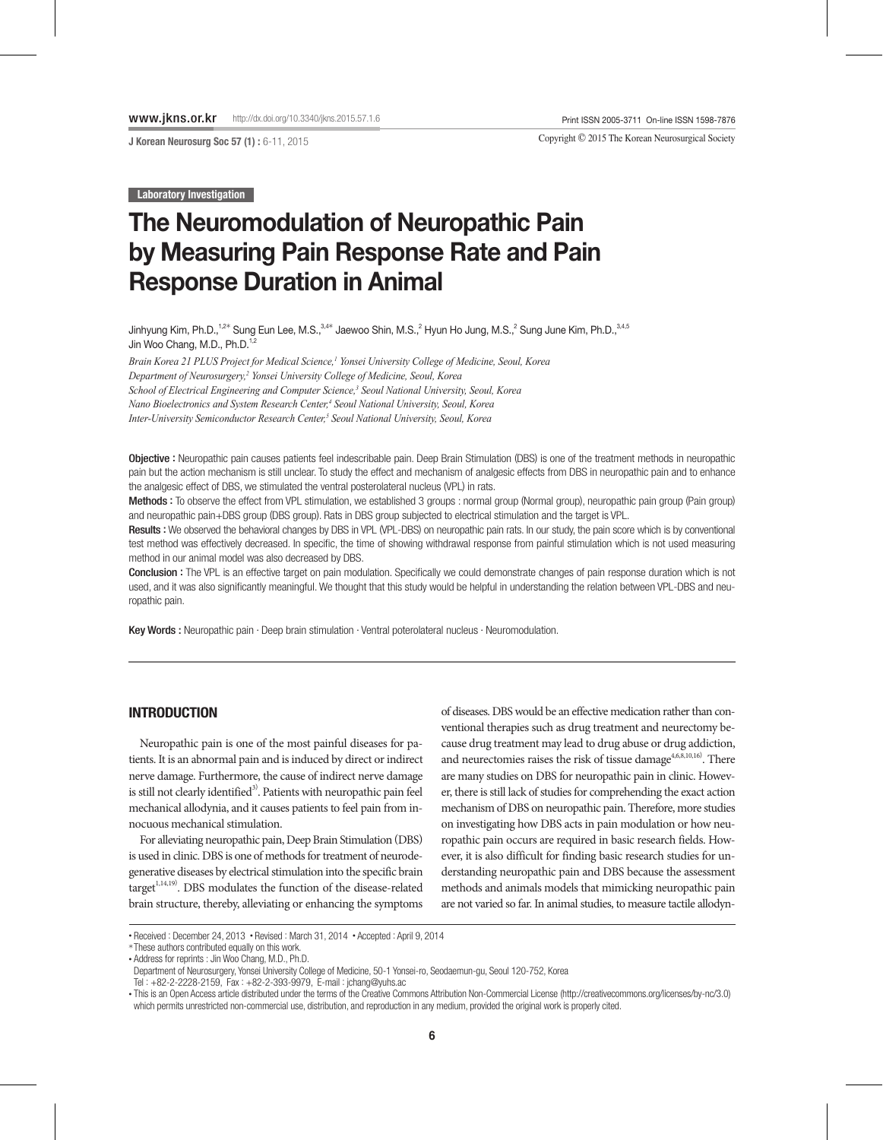J Korean Neurosurg Soc 57 (1) : 6-11, 2015

Copyright © 2015 The Korean Neurosurgical Society

**Laboratory Investigation** 

# The Neuromodulation of Neuropathic Pain by Measuring Pain Response Rate and Pain Response Duration in Animal

Jinhyung Kim, Ph.D.,<sup>1,2\*</sup> Sung Eun Lee, M.S.,<sup>3,4\*</sup> Jaewoo Shin, M.S.,<sup>2</sup> Hyun Ho Jung, M.S.,<sup>2</sup> Sung June Kim, Ph.D.,<sup>3,4,5</sup> Jin Woo Chang, M.D., Ph.D.<sup>1,2</sup>

*Brain Korea 21 PLUS Project for Medical Science,1 Yonsei University College of Medicine, Seoul, Korea Department of Neurosurgery,2 Yonsei University College of Medicine, Seoul, Korea School of Electrical Engineering and Computer Science,3 Seoul National University, Seoul, Korea Nano Bioelectronics and System Research Center,4 Seoul National University, Seoul, Korea Inter-University Semiconductor Research Center,5 Seoul National University, Seoul, Korea*

Objective : Neuropathic pain causes patients feel indescribable pain. Deep Brain Stimulation (DBS) is one of the treatment methods in neuropathic pain but the action mechanism is still unclear. To study the effect and mechanism of analgesic effects from DBS in neuropathic pain and to enhance the analgesic effect of DBS, we stimulated the ventral posterolateral nucleus (VPL) in rats.

Methods : To observe the effect from VPL stimulation, we established 3 groups : normal group (Normal group), neuropathic pain group (Pain group) and neuropathic pain+DBS group (DBS group). Rats in DBS group subjected to electrical stimulation and the target is VPL.

Results : We observed the behavioral changes by DBS in VPL (VPL-DBS) on neuropathic pain rats. In our study, the pain score which is by conventional test method was effectively decreased. In specific, the time of showing withdrawal response from painful stimulation which is not used measuring method in our animal model was also decreased by DBS.

Conclusion : The VPL is an effective target on pain modulation. Specifically we could demonstrate changes of pain response duration which is not used, and it was also significantly meaningful. We thought that this study would be helpful in understanding the relation between VPL-DBS and neuropathic pain.

Key Words : Neuropathic pain · Deep brain stimulation · Ventral poterolateral nucleus · Neuromodulation.

## **INTRODUCTION**

Neuropathic pain is one of the most painful diseases for patients. It is an abnormal pain and is induced by direct or indirect nerve damage. Furthermore, the cause of indirect nerve damage is still not clearly identified<sup>3)</sup>. Patients with neuropathic pain feel mechanical allodynia, and it causes patients to feel pain from innocuous mechanical stimulation.

For alleviating neuropathic pain, Deep Brain Stimulation (DBS) is used in clinic. DBS is one of methods for treatment of neurodegenerative diseases by electrical stimulation into the specific brain target<sup>1,14,19)</sup>. DBS modulates the function of the disease-related brain structure, thereby, alleviating or enhancing the symptoms

of diseases. DBS would be an effective medication rather than conventional therapies such as drug treatment and neurectomy because drug treatment may lead to drug abuse or drug addiction, and neurectomies raises the risk of tissue damage<sup>4,6,8,10,16</sub>). There</sup> are many studies on DBS for neuropathic pain in clinic. However, there is still lack of studies for comprehending the exact action mechanism of DBS on neuropathic pain. Therefore, more studies on investigating how DBS acts in pain modulation or how neuropathic pain occurs are required in basic research fields. However, it is also difficult for finding basic research studies for understanding neuropathic pain and DBS because the assessment methods and animals models that mimicking neuropathic pain are not varied so far. In animal studies, to measure tactile allodyn-

\*These authors contributed equally on this work.

• Address for reprints : Jin Woo Chang, M.D., Ph.D.

Tel : +82-2-2228-2159, Fax : +82-2-393-9979, E-mail : jchang@yuhs.ac

<sup>•</sup> Received : December 24, 2013 • Revised : March 31, 2014 • Accepted : April 9, 2014

Department of Neurosurgery, Yonsei University College of Medicine, 50-1 Yonsei-ro, Seodaemun-gu, Seoul 120-752, Korea

<sup>•</sup> This is an Open Access article distributed under the terms of the Creative Commons Attribution Non-Commercial License (http://creativecommons.org/licenses/by-nc/3.0) which permits unrestricted non-commercial use, distribution, and reproduction in any medium, provided the original work is properly cited.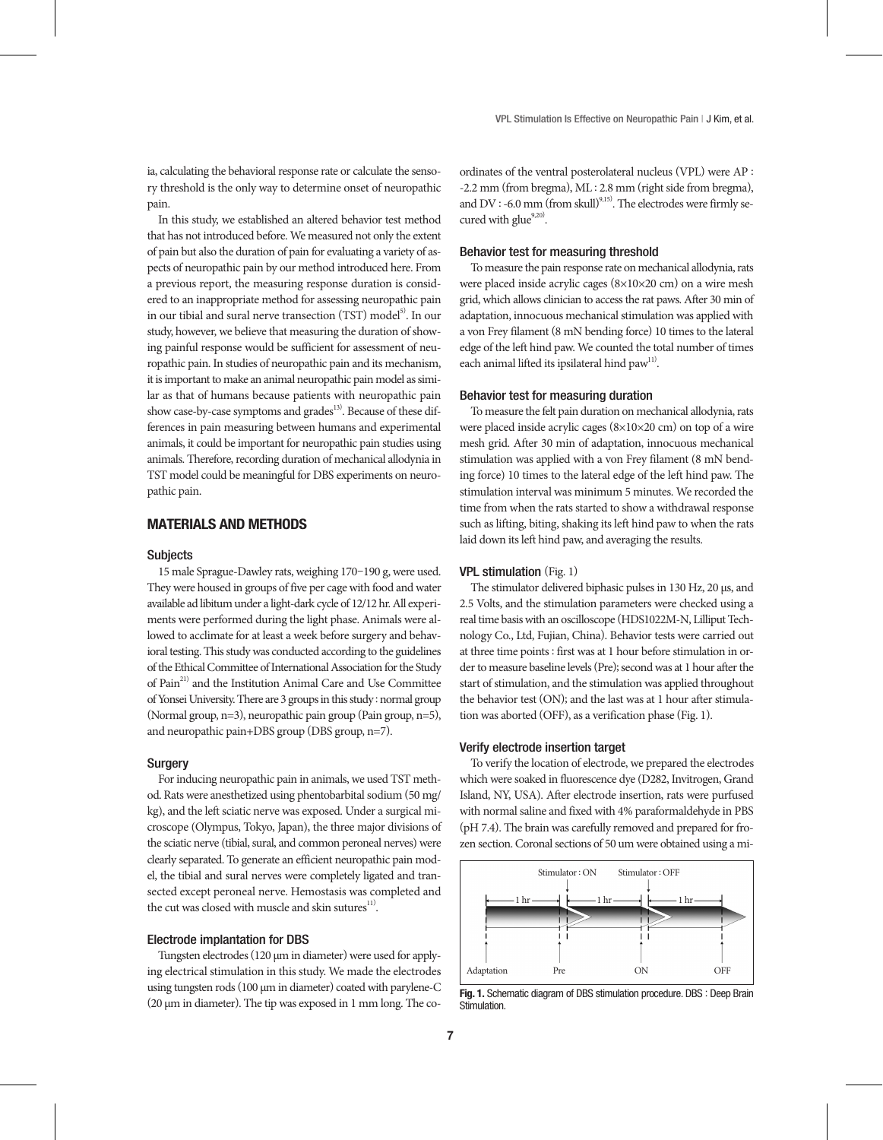ia, calculating the behavioral response rate or calculate the sensory threshold is the only way to determine onset of neuropathic pain.

In this study, we established an altered behavior test method that has not introduced before. We measured not only the extent of pain but also the duration of pain for evaluating a variety of aspects of neuropathic pain by our method introduced here. From a previous report, the measuring response duration is considered to an inappropriate method for assessing neuropathic pain in our tibial and sural nerve transection (TST) model<sup>5)</sup>. In our study, however, we believe that measuring the duration of showing painful response would be sufficient for assessment of neuropathic pain. In studies of neuropathic pain and its mechanism, it is important to make an animal neuropathic pain model as similar as that of humans because patients with neuropathic pain show case-by-case symptoms and grades<sup>13)</sup>. Because of these differences in pain measuring between humans and experimental animals, it could be important for neuropathic pain studies using animals. Therefore, recording duration of mechanical allodynia in TST model could be meaningful for DBS experiments on neuropathic pain.

#### MATERIALS AND METHODS

#### **Subjects**

15 male Sprague-Dawley rats, weighing 170–190 g, were used. They were housed in groups of five per cage with food and water available ad libitum under a light-dark cycle of 12/12 hr. All experiments were performed during the light phase. Animals were allowed to acclimate for at least a week before surgery and behavioral testing. This study was conducted according to the guidelines of the Ethical Committee of International Association for the Study of Pain<sup>21)</sup> and the Institution Animal Care and Use Committee of Yonsei University. There are 3 groups in this study : normal group (Normal group, n=3), neuropathic pain group (Pain group, n=5), and neuropathic pain+DBS group (DBS group, n=7).

#### **Surgery**

For inducing neuropathic pain in animals, we used TST method. Rats were anesthetized using phentobarbital sodium (50 mg/ kg), and the left sciatic nerve was exposed. Under a surgical microscope (Olympus, Tokyo, Japan), the three major divisions of the sciatic nerve (tibial, sural, and common peroneal nerves) were clearly separated. To generate an efficient neuropathic pain model, the tibial and sural nerves were completely ligated and transected except peroneal nerve. Hemostasis was completed and the cut was closed with muscle and skin sutures $^{\text{11}}$ .

#### Electrode implantation for DBS

Tungsten electrodes (120 μm in diameter) were used for applying electrical stimulation in this study. We made the electrodes using tungsten rods (100 μm in diameter) coated with parylene-C (20 μm in diameter). The tip was exposed in 1 mm long. The coordinates of the ventral posterolateral nucleus (VPL) were AP : -2.2 mm (from bregma), ML : 2.8 mm (right side from bregma), and DV : -6.0 mm (from skull)<sup>9,15</sup>. The electrodes were firmly secured with glue<sup>9,20)</sup>.

#### Behavior test for measuring threshold

To measure the pain response rate on mechanical allodynia, rats were placed inside acrylic cages (8×10×20 cm) on a wire mesh grid, which allows clinician to access the rat paws. After 30 min of adaptation, innocuous mechanical stimulation was applied with a von Frey filament (8 mN bending force) 10 times to the lateral edge of the left hind paw. We counted the total number of times each animal lifted its ipsilateral hind paw<sup>11)</sup>.

#### Behavior test for measuring duration

To measure the felt pain duration on mechanical allodynia, rats were placed inside acrylic cages (8×10×20 cm) on top of a wire mesh grid. After 30 min of adaptation, innocuous mechanical stimulation was applied with a von Frey filament (8 mN bending force) 10 times to the lateral edge of the left hind paw. The stimulation interval was minimum 5 minutes. We recorded the time from when the rats started to show a withdrawal response such as lifting, biting, shaking its left hind paw to when the rats laid down its left hind paw, and averaging the results.

#### VPL stimulation (Fig. 1)

The stimulator delivered biphasic pulses in 130 Hz, 20 μs, and 2.5 Volts, and the stimulation parameters were checked using a real time basis with an oscilloscope (HDS1022M-N, Lilliput Technology Co., Ltd, Fujian, China). Behavior tests were carried out at three time points : first was at 1 hour before stimulation in order to measure baseline levels (Pre); second was at 1 hour after the start of stimulation, and the stimulation was applied throughout the behavior test (ON); and the last was at 1 hour after stimulation was aborted (OFF), as a verification phase (Fig. 1).

#### Verify electrode insertion target

To verify the location of electrode, we prepared the electrodes which were soaked in fluorescence dye (D282, Invitrogen, Grand Island, NY, USA). After electrode insertion, rats were purfused with normal saline and fixed with 4% paraformaldehyde in PBS (pH 7.4). The brain was carefully removed and prepared for frozen section. Coronal sections of 50 um were obtained using a mi-



Fig. 1. Schematic diagram of DBS stimulation procedure. DBS : Deep Brain Stimulation.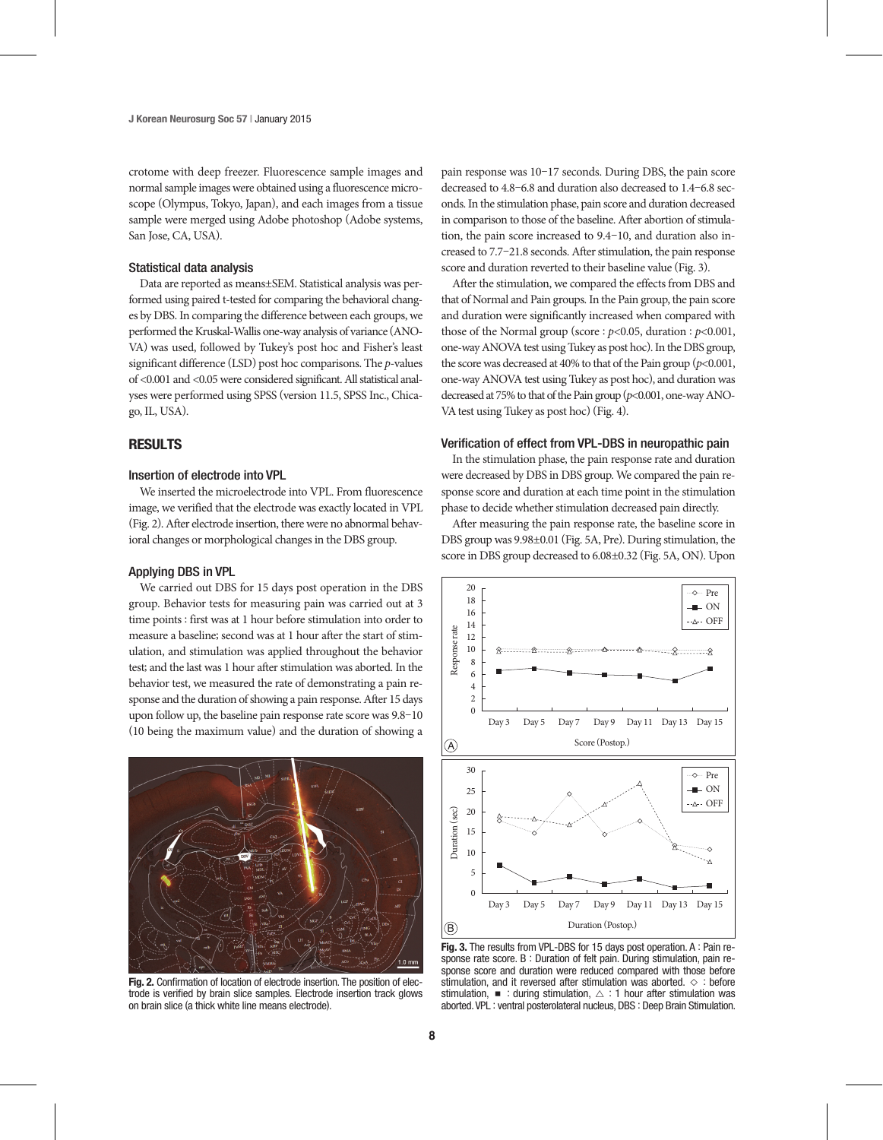crotome with deep freezer. Fluorescence sample images and normal sample images were obtained using a fluorescence microscope (Olympus, Tokyo, Japan), and each images from a tissue sample were merged using Adobe photoshop (Adobe systems, San Jose, CA, USA).

#### Statistical data analysis

Data are reported as means±SEM. Statistical analysis was performed using paired t-tested for comparing the behavioral changes by DBS. In comparing the difference between each groups, we performed the Kruskal-Wallis one-way analysis of variance (ANO-VA) was used, followed by Tukey's post hoc and Fisher's least significant difference (LSD) post hoc comparisons. The *p*-values of <0.001 and <0.05 were considered significant. All statistical analyses were performed using SPSS (version 11.5, SPSS Inc., Chicago, IL, USA).

#### RESULTS

### Insertion of electrode into VPL

We inserted the microelectrode into VPL. From fluorescence image, we verified that the electrode was exactly located in VPL (Fig. 2). After electrode insertion, there were no abnormal behavioral changes or morphological changes in the DBS group.

## Applying DBS in VPL

We carried out DBS for 15 days post operation in the DBS group. Behavior tests for measuring pain was carried out at 3 time points : first was at 1 hour before stimulation into order to measure a baseline; second was at 1 hour after the start of stimulation, and stimulation was applied throughout the behavior test; and the last was 1 hour after stimulation was aborted. In the behavior test, we measured the rate of demonstrating a pain response and the duration of showing a pain response. After 15 days upon follow up, the baseline pain response rate score was 9.8–10 (10 being the maximum value) and the duration of showing a



Fig. 2. Confirmation of location of electrode insertion. The position of electrode is verified by brain slice samples. Electrode insertion track glows on brain slice (a thick white line means electrode).

pain response was 10–17 seconds. During DBS, the pain score decreased to 4.8–6.8 and duration also decreased to 1.4–6.8 seconds. In the stimulation phase, pain score and duration decreased in comparison to those of the baseline. After abortion of stimulation, the pain score increased to 9.4–10, and duration also increased to 7.7–21.8 seconds. After stimulation, the pain response score and duration reverted to their baseline value (Fig. 3).

After the stimulation, we compared the effects from DBS and that of Normal and Pain groups. In the Pain group, the pain score and duration were significantly increased when compared with those of the Normal group (score : *p*<0.05, duration : *p*<0.001, one-way ANOVA test using Tukey as post hoc). In the DBS group, the score was decreased at 40% to that of the Pain group  $(p<0.001,$ one-way ANOVA test using Tukey as post hoc), and duration was decreased at 75% to that of the Pain group (*p*<0.001, one-way ANO-VA test using Tukey as post hoc) (Fig. 4).

## Verification of effect from VPL-DBS in neuropathic pain

In the stimulation phase, the pain response rate and duration were decreased by DBS in DBS group. We compared the pain response score and duration at each time point in the stimulation phase to decide whether stimulation decreased pain directly.

After measuring the pain response rate, the baseline score in DBS group was 9.98±0.01 (Fig. 5A, Pre). During stimulation, the score in DBS group decreased to 6.08±0.32 (Fig. 5A, ON). Upon



Fig. 3. The results from VPL-DBS for 15 days post operation. A : Pain response rate score. B : Duration of felt pain. During stimulation, pain response score and duration were reduced compared with those before stimulation, and it reversed after stimulation was aborted. ◇ : before stimulation,  $\blacksquare$  : during stimulation,  $\triangle$  : 1 hour after stimulation was aborted. VPL : ventral posterolateral nucleus, DBS : Deep Brain Stimulation.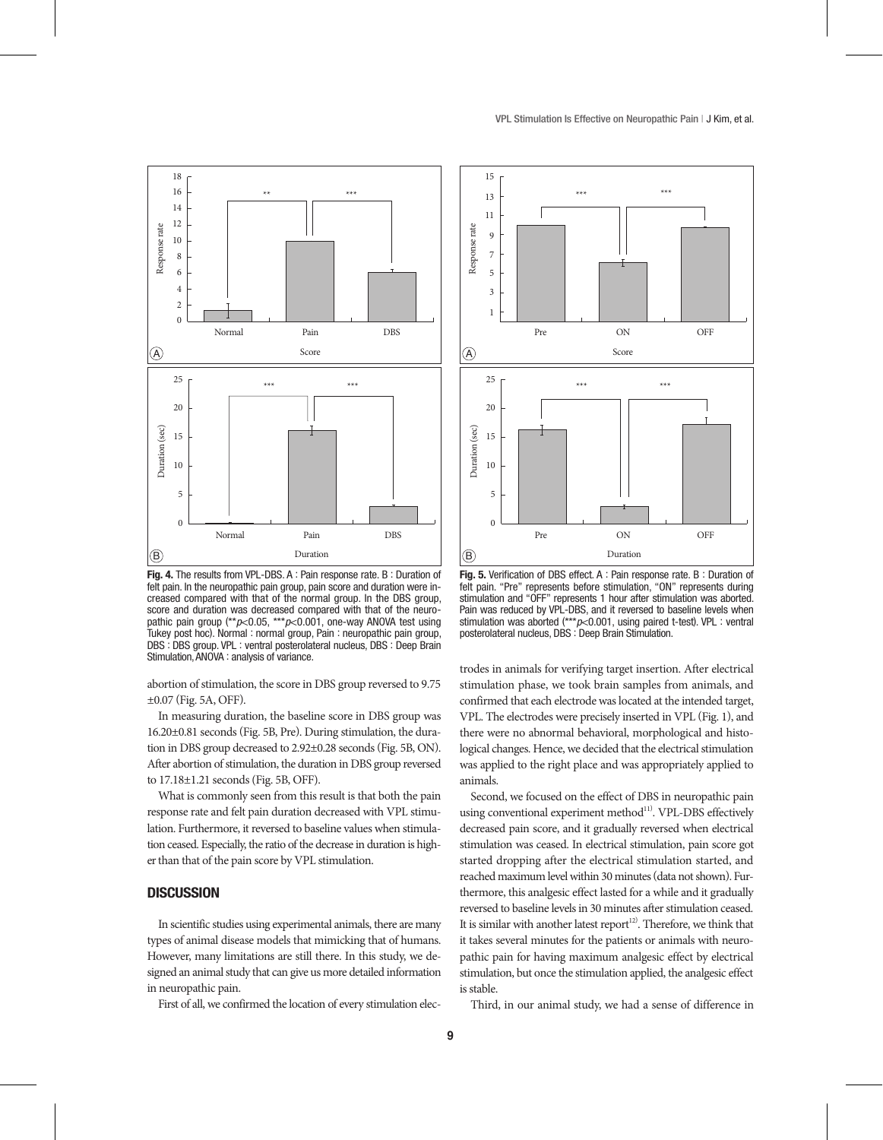

Fig. 4. The results from VPL-DBS. A : Pain response rate. B : Duration of felt pain. In the neuropathic pain group, pain score and duration were increased compared with that of the normal group. In the DBS group, score and duration was decreased compared with that of the neuropathic pain group (\*\**p*<0.05, \*\*\**p*<0.001, one-way ANOVA test using Tukey post hoc). Normal : normal group, Pain : neuropathic pain group, DBS : DBS group. VPL : ventral posterolateral nucleus, DBS : Deep Brain Stimulation, ANOVA : analysis of variance.

abortion of stimulation, the score in DBS group reversed to 9.75 ±0.07 (Fig. 5A, OFF).

In measuring duration, the baseline score in DBS group was 16.20±0.81 seconds (Fig. 5B, Pre). During stimulation, the duration in DBS group decreased to 2.92±0.28 seconds (Fig. 5B, ON). After abortion of stimulation, the duration in DBS group reversed to 17.18±1.21 seconds (Fig. 5B, OFF).

What is commonly seen from this result is that both the pain response rate and felt pain duration decreased with VPL stimulation. Furthermore, it reversed to baseline values when stimulation ceased. Especially, the ratio of the decrease in duration is higher than that of the pain score by VPL stimulation.

## **DISCUSSION**

In scientific studies using experimental animals, there are many types of animal disease models that mimicking that of humans. However, many limitations are still there. In this study, we designed an animal study that can give us more detailed information in neuropathic pain.

First of all, we confirmed the location of every stimulation elec-



Fig. 5. Verification of DBS effect. A : Pain response rate. B : Duration of felt pain. "Pre" represents before stimulation, "ON" represents during stimulation and "OFF" represents 1 hour after stimulation was aborted. Pain was reduced by VPL-DBS, and it reversed to baseline levels when stimulation was aborted (\*\*\**p*<0.001, using paired t-test). VPL : ventral posterolateral nucleus, DBS : Deep Brain Stimulation.

trodes in animals for verifying target insertion. After electrical stimulation phase, we took brain samples from animals, and confirmed that each electrode was located at the intended target, VPL. The electrodes were precisely inserted in VPL (Fig. 1), and there were no abnormal behavioral, morphological and histological changes. Hence, we decided that the electrical stimulation was applied to the right place and was appropriately applied to animals.

Second, we focused on the effect of DBS in neuropathic pain using conventional experiment method<sup>11)</sup>. VPL-DBS effectively decreased pain score, and it gradually reversed when electrical stimulation was ceased. In electrical stimulation, pain score got started dropping after the electrical stimulation started, and reached maximum level within 30 minutes (data not shown). Furthermore, this analgesic effect lasted for a while and it gradually reversed to baseline levels in 30 minutes after stimulation ceased. It is similar with another latest report<sup>12)</sup>. Therefore, we think that it takes several minutes for the patients or animals with neuropathic pain for having maximum analgesic effect by electrical stimulation, but once the stimulation applied, the analgesic effect is stable.

Third, in our animal study, we had a sense of difference in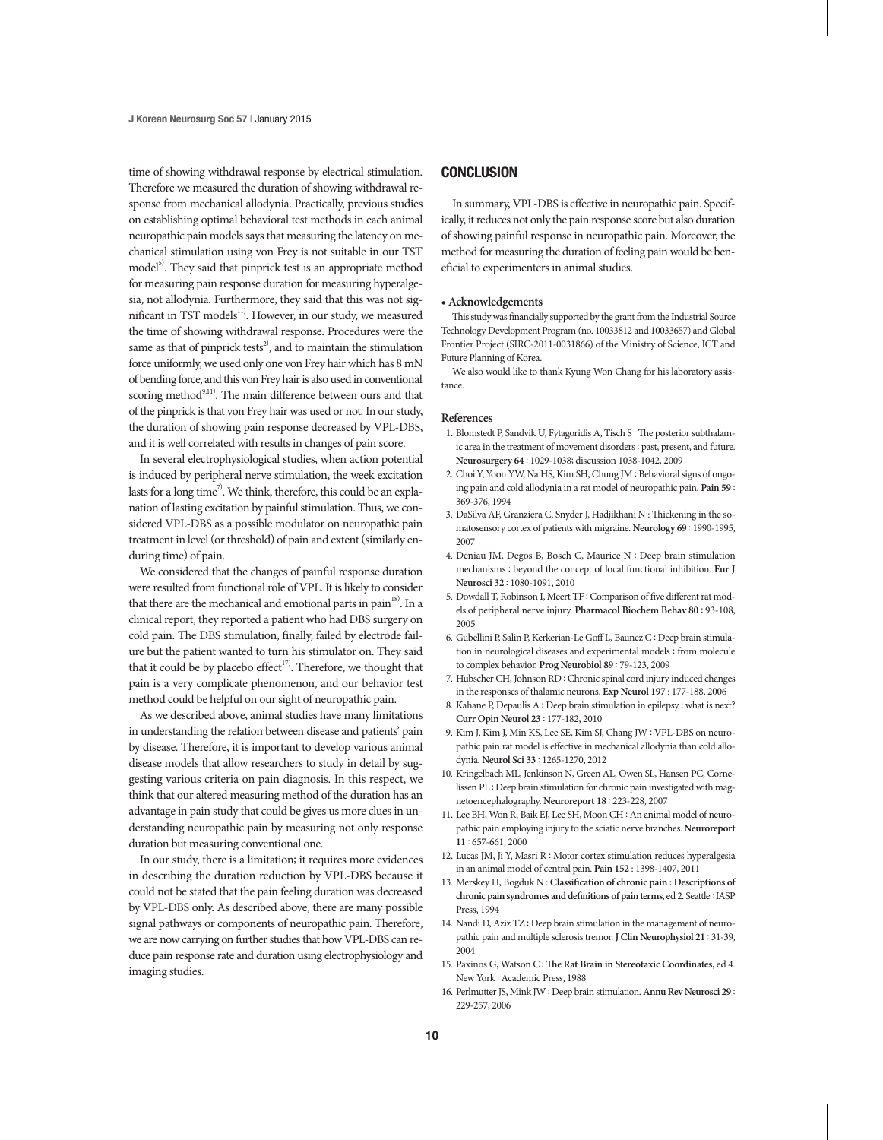time of showing withdrawal response by electrical stimulation. Therefore we measured the duration of showing withdrawal response from mechanical allodynia. Practically, previous studies on establishing optimal behavioral test methods in each animal neuropathic pain models says that measuring the latency on mechanical stimulation using von Frey is not suitable in our TST model<sup>5)</sup>. They said that pinprick test is an appropriate method for measuring pain response duration for measuring hyperalgesia, not allodynia. Furthermore, they said that this was not significant in TST models<sup>11)</sup>. However, in our study, we measured the time of showing withdrawal response. Procedures were the same as that of pinprick tests<sup>2</sup>, and to maintain the stimulation force uniformly, we used only one von Frey hair which has 8 mN of bending force, and this von Frey hair is also used in conventional scoring method<sup>9,11)</sup>. The main difference between ours and that of the pinprick is that von Frey hair was used or not. In our study, the duration of showing pain response decreased by VPL-DBS, and it is well correlated with results in changes of pain score.

In several electrophysiological studies, when action potential is induced by peripheral nerve stimulation, the week excitation lasts for a long time<sup>7</sup>. We think, therefore, this could be an explanation of lasting excitation by painful stimulation. Thus, we considered VPL-DBS as a possible modulator on neuropathic pain treatment in level (or threshold) of pain and extent (similarly enduring time) of pain.

We considered that the changes of painful response duration were resulted from functional role of VPL. It is likely to consider that there are the mechanical and emotional parts in pain<sup>18)</sup>. In a clinical report, they reported a patient who had DBS surgery on cold pain. The DBS stimulation, finally, failed by electrode failure but the patient wanted to turn his stimulator on. They said that it could be by placebo effect<sup>17)</sup>. Therefore, we thought that pain is a very complicate phenomenon, and our behavior test method could be helpful on our sight of neuropathic pain.

As we described above, animal studies have many limitations in understanding the relation between disease and patients' pain by disease. Therefore, it is important to develop various animal disease models that allow researchers to study in detail by suggesting various criteria on pain diagnosis. In this respect, we think that our altered measuring method of the duration has an advantage in pain study that could be gives us more clues in understanding neuropathic pain by measuring not only response duration but measuring conventional one.

In our study, there is a limitation; it requires more evidences in describing the duration reduction by VPL-DBS because it could not be stated that the pain feeling duration was decreased by VPL-DBS only. As described above, there are many possible signal pathways or components of neuropathic pain. Therefore, we are now carrying on further studies that how VPL-DBS can reduce pain response rate and duration using electrophysiology and imaging studies.

## **CONCLUSION**

In summary, VPL-DBS is effective in neuropathic pain. Specifically, it reduces not only the pain response score but also duration of showing painful response in neuropathic pain. Moreover, the method for measuring the duration of feeling pain would be beneficial to experimenters in animal studies.

#### **• Acknowledgements**

This study was financially supported by the grant from the Industrial Source Technology Development Program (no. 10033812 and 10033657) and Global Frontier Project (SIRC-2011-0031866) of the Ministry of Science, ICT and Future Planning of Korea.

We also would like to thank Kyung Won Chang for his laboratory assistance.

#### **References**

- 1. Blomstedt P, Sandvik U, Fytagoridis A, Tisch S : The posterior subthalamic area in the treatment of movement disorders : past, present, and future. **Neurosurgery 64** : 1029-1038; discussion 1038-1042, 2009
- 2. Choi Y, Yoon YW, Na HS, Kim SH, Chung JM : Behavioral signs of ongoing pain and cold allodynia in a rat model of neuropathic pain. **Pain 59** : 369-376, 1994
- 3. DaSilva AF, Granziera C, Snyder J, Hadjikhani N : Thickening in the somatosensory cortex of patients with migraine. **Neurology 69** : 1990-1995, 2007
- 4. Deniau JM, Degos B, Bosch C, Maurice N : Deep brain stimulation mechanisms : beyond the concept of local functional inhibition. **Eur J Neurosci 32** : 1080-1091, 2010
- 5. Dowdall T, Robinson I, Meert TF : Comparison of five different rat models of peripheral nerve injury. **Pharmacol Biochem Behav 80** : 93-108, 2005
- 6. Gubellini P, Salin P, Kerkerian-Le Goff L, Baunez C : Deep brain stimulation in neurological diseases and experimental models : from molecule to complex behavior. **Prog Neurobiol 89** : 79-123, 2009
- 7. Hubscher CH, Johnson RD : Chronic spinal cord injury induced changes in the responses of thalamic neurons. **Exp Neurol 197** : 177-188, 2006
- 8. Kahane P, Depaulis A : Deep brain stimulation in epilepsy : what is next? **Curr Opin Neurol 23** : 177-182, 2010
- 9. Kim J, Kim J, Min KS, Lee SE, Kim SJ, Chang JW : VPL-DBS on neuropathic pain rat model is effective in mechanical allodynia than cold allodynia. **Neurol Sci 33** : 1265-1270, 2012
- 10. Kringelbach ML, Jenkinson N, Green AL, Owen SL, Hansen PC, Cornelissen PL : Deep brain stimulation for chronic pain investigated with magnetoencephalography. **Neuroreport 18** : 223-228, 2007
- 11. Lee BH, Won R, Baik EJ, Lee SH, Moon CH : An animal model of neuropathic pain employing injury to the sciatic nerve branches. **Neuroreport 11** : 657-661, 2000
- 12. Lucas JM, Ji Y, Masri R : Motor cortex stimulation reduces hyperalgesia in an animal model of central pain. **Pain 152** : 1398-1407, 2011
- 13. Merskey H, Bogduk N : **Classification of chronic pain : Descriptions of chronic pain syndromes and definitions of pain terms**, ed 2. Seattle : IASP Press, 1994
- 14. Nandi D, Aziz TZ : Deep brain stimulation in the management of neuropathic pain and multiple sclerosis tremor. **J Clin Neurophysiol 21** : 31-39, 2004
- 15. Paxinos G, Watson C : **The Rat Brain in Stereotaxic Coordinates**, ed 4. New York : Academic Press, 1988
- 16. Perlmutter JS, Mink JW : Deep brain stimulation. **Annu Rev Neurosci 29** : 229-257, 2006